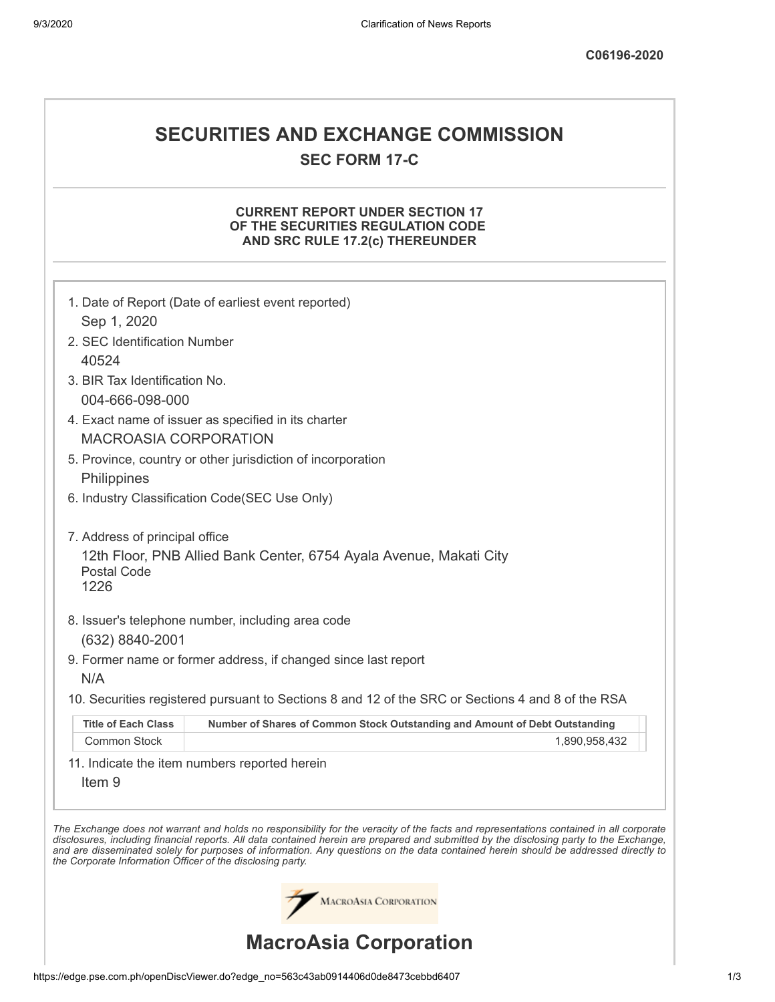## **SECURITIES AND EXCHANGE COMMISSION SEC FORM 17-C**

## **CURRENT REPORT UNDER SECTION 17 OF THE SECURITIES REGULATION CODE AND SRC RULE 17.2(c) THEREUNDER**

|                                                            | MACROASIA CORPORATION<br><b>MacroAsia Corporation</b>                                                                                                                                                                                                                                                                                                                                                                    |
|------------------------------------------------------------|--------------------------------------------------------------------------------------------------------------------------------------------------------------------------------------------------------------------------------------------------------------------------------------------------------------------------------------------------------------------------------------------------------------------------|
| the Corporate Information Officer of the disclosing party. | The Exchange does not warrant and holds no responsibility for the veracity of the facts and representations contained in all corporate<br>disclosures, including financial reports. All data contained herein are prepared and submitted by the disclosing party to the Exchange,<br>and are disseminated solely for purposes of information. Any questions on the data contained herein should be addressed directly to |
| Item <sub>9</sub>                                          | 11. Indicate the item numbers reported herein                                                                                                                                                                                                                                                                                                                                                                            |
| Common Stock                                               | 1,890,958,432                                                                                                                                                                                                                                                                                                                                                                                                            |
| <b>Title of Each Class</b>                                 | Number of Shares of Common Stock Outstanding and Amount of Debt Outstanding                                                                                                                                                                                                                                                                                                                                              |
|                                                            | 10. Securities registered pursuant to Sections 8 and 12 of the SRC or Sections 4 and 8 of the RSA                                                                                                                                                                                                                                                                                                                        |
| N/A                                                        |                                                                                                                                                                                                                                                                                                                                                                                                                          |
| (632) 8840-2001                                            | 9. Former name or former address, if changed since last report                                                                                                                                                                                                                                                                                                                                                           |
|                                                            | 8. Issuer's telephone number, including area code                                                                                                                                                                                                                                                                                                                                                                        |
| Postal Code<br>1226                                        |                                                                                                                                                                                                                                                                                                                                                                                                                          |
| 7. Address of principal office                             | 12th Floor, PNB Allied Bank Center, 6754 Ayala Avenue, Makati City                                                                                                                                                                                                                                                                                                                                                       |
|                                                            | 6. Industry Classification Code(SEC Use Only)                                                                                                                                                                                                                                                                                                                                                                            |
| Philippines                                                |                                                                                                                                                                                                                                                                                                                                                                                                                          |
|                                                            | 5. Province, country or other jurisdiction of incorporation                                                                                                                                                                                                                                                                                                                                                              |
| <b>MACROASIA CORPORATION</b>                               |                                                                                                                                                                                                                                                                                                                                                                                                                          |
| 004-666-098-000                                            | 4. Exact name of issuer as specified in its charter                                                                                                                                                                                                                                                                                                                                                                      |
| 3. BIR Tax Identification No.                              |                                                                                                                                                                                                                                                                                                                                                                                                                          |
| 40524                                                      |                                                                                                                                                                                                                                                                                                                                                                                                                          |
| 2. SEC Identification Number                               |                                                                                                                                                                                                                                                                                                                                                                                                                          |
|                                                            |                                                                                                                                                                                                                                                                                                                                                                                                                          |
| Sep 1, 2020                                                | 1. Date of Report (Date of earliest event reported)                                                                                                                                                                                                                                                                                                                                                                      |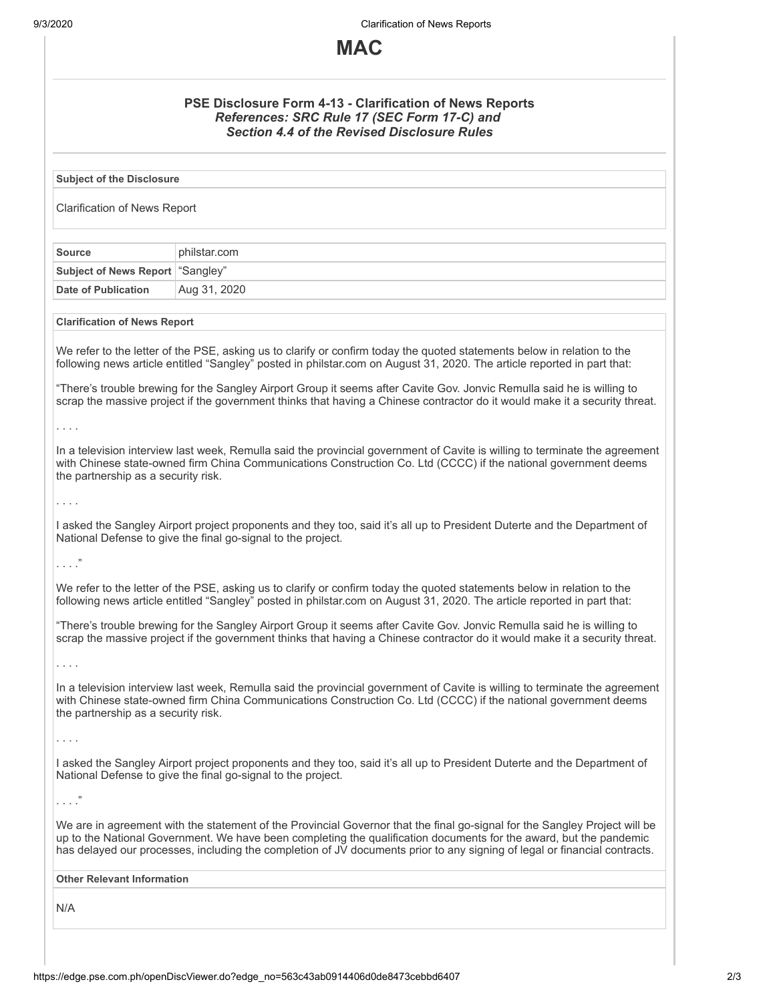9/3/2020 Clarification of News Reports



| PSE Disclosure Form 4-13 - Clarification of News Reports<br>References: SRC Rule 17 (SEC Form 17-C) and<br><b>Section 4.4 of the Revised Disclosure Rules</b>                                                                                                                                                                                                                                                                                                                                              |              |  |  |
|------------------------------------------------------------------------------------------------------------------------------------------------------------------------------------------------------------------------------------------------------------------------------------------------------------------------------------------------------------------------------------------------------------------------------------------------------------------------------------------------------------|--------------|--|--|
| <b>Subject of the Disclosure</b>                                                                                                                                                                                                                                                                                                                                                                                                                                                                           |              |  |  |
| <b>Clarification of News Report</b>                                                                                                                                                                                                                                                                                                                                                                                                                                                                        |              |  |  |
| <b>Source</b>                                                                                                                                                                                                                                                                                                                                                                                                                                                                                              | philstar.com |  |  |
| <b>Subject of News Report</b>                                                                                                                                                                                                                                                                                                                                                                                                                                                                              | "Sangley"    |  |  |
| Date of Publication                                                                                                                                                                                                                                                                                                                                                                                                                                                                                        | Aug 31, 2020 |  |  |
| <b>Clarification of News Report</b>                                                                                                                                                                                                                                                                                                                                                                                                                                                                        |              |  |  |
| We refer to the letter of the PSE, asking us to clarify or confirm today the quoted statements below in relation to the<br>following news article entitled "Sangley" posted in philstar.com on August 31, 2020. The article reported in part that:<br>"There's trouble brewing for the Sangley Airport Group it seems after Cavite Gov. Jonvic Remulla said he is willing to<br>scrap the massive project if the government thinks that having a Chinese contractor do it would make it a security threat. |              |  |  |
|                                                                                                                                                                                                                                                                                                                                                                                                                                                                                                            |              |  |  |
| .<br>In a television interview last week, Remulla said the provincial government of Cavite is willing to terminate the agreement<br>with Chinese state-owned firm China Communications Construction Co. Ltd (CCCC) if the national government deems<br>the partnership as a security risk.                                                                                                                                                                                                                 |              |  |  |
| .                                                                                                                                                                                                                                                                                                                                                                                                                                                                                                          |              |  |  |
| I asked the Sangley Airport project proponents and they too, said it's all up to President Duterte and the Department of<br>National Defense to give the final go-signal to the project.                                                                                                                                                                                                                                                                                                                   |              |  |  |
| $\ldots$ "                                                                                                                                                                                                                                                                                                                                                                                                                                                                                                 |              |  |  |
| We refer to the letter of the PSE, asking us to clarify or confirm today the quoted statements below in relation to the<br>following news article entitled "Sangley" posted in philstar.com on August 31, 2020. The article reported in part that:                                                                                                                                                                                                                                                         |              |  |  |
| "There's trouble brewing for the Sangley Airport Group it seems after Cavite Gov. Jonvic Remulla said he is willing to<br>scrap the massive project if the government thinks that having a Chinese contractor do it would make it a security threat.                                                                                                                                                                                                                                                       |              |  |  |
| .                                                                                                                                                                                                                                                                                                                                                                                                                                                                                                          |              |  |  |
| In a television interview last week, Remulla said the provincial government of Cavite is willing to terminate the agreement<br>with Chinese state-owned firm China Communications Construction Co. Ltd (CCCC) if the national government deems<br>the partnership as a security risk.                                                                                                                                                                                                                      |              |  |  |
| .                                                                                                                                                                                                                                                                                                                                                                                                                                                                                                          |              |  |  |
| I asked the Sangley Airport project proponents and they too, said it's all up to President Duterte and the Department of<br>National Defense to give the final go-signal to the project.                                                                                                                                                                                                                                                                                                                   |              |  |  |
| $\ldots$ ."                                                                                                                                                                                                                                                                                                                                                                                                                                                                                                |              |  |  |
| We are in agreement with the statement of the Provincial Governor that the final go-signal for the Sangley Project will be<br>up to the National Government. We have been completing the qualification documents for the award, but the pandemic<br>has delayed our processes, including the completion of JV documents prior to any signing of legal or financial contracts.                                                                                                                              |              |  |  |
| <b>Other Relevant Information</b>                                                                                                                                                                                                                                                                                                                                                                                                                                                                          |              |  |  |
| N/A                                                                                                                                                                                                                                                                                                                                                                                                                                                                                                        |              |  |  |
|                                                                                                                                                                                                                                                                                                                                                                                                                                                                                                            |              |  |  |